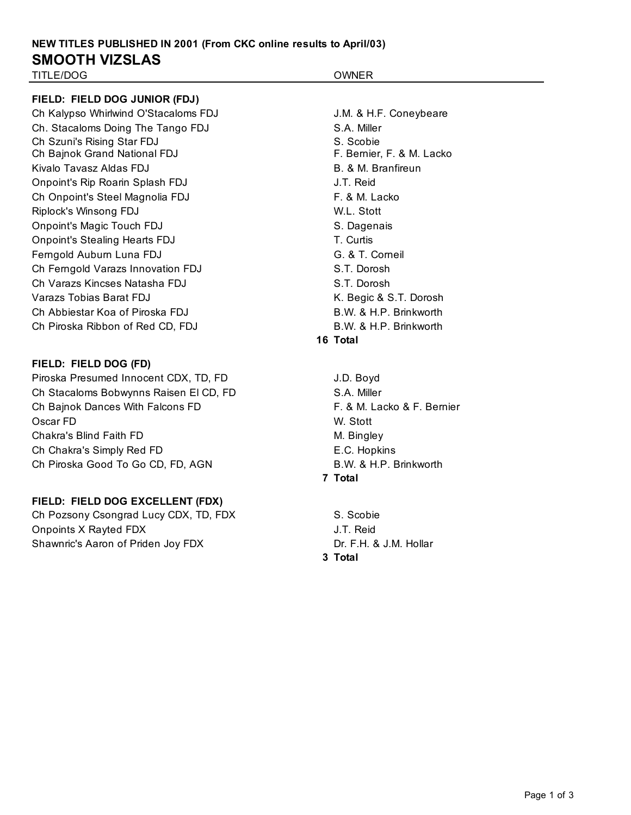# **NEW TITLES PUBLISHED IN 2001 (From CKC online results to April/03) SMOOTH VIZSLAS**

## TITLE/DOG OWNER

## **FIELD: FIELD DOG JUNIOR (FDJ)**

Ch Kalypso Whirlwind O'Stacaloms FDJ J.M. & H.F. Coneybeare Ch. Stacaloms Doing The Tango FDJ S.A. Miller Ch Szuni's Rising Star FDJ S. Scobie Ch Bajnok Grand National FDJ **F. Bernier, F. & M. Lacko** Kivalo Tavasz Aldas FDJ B. & M. Branfireun Onpoint's Rip Roarin Splash FDJ J.T. Reid Ch Onpoint's Steel Magnolia FDJ F. & M. Lacko Riplock's Winsong FDJ W.L. Stott Onpoint's Magic Touch FDJ S. Dagenais Onpoint's Stealing Hearts FDJ T. Curtis Ferngold Auburn Luna FDJ G. & T. Corneil Ch Ferngold Varazs Innovation FDJ S.T. Dorosh Ch Varazs Kincses Natasha FDJ S.T. Dorosh Varazs Tobias Barat FDJ **K. Begic & S.T. Dorosh** Ch Abbiestar Koa of Piroska FDJ B.W. & H.P. Brinkworth Ch Piroska Ribbon of Red CD, FDJ B.W. & H.P. Brinkworth

### **FIELD: FIELD DOG (FD)**

Piroska Presumed Innocent CDX, TD, FD J.D. Boyd Ch Stacaloms Bobwynns Raisen El CD, FD S.A. Miller Ch Bajnok Dances With Falcons FD **F. & M. Lacko & F. Bernier** Oscar FD W. Stott Chakra's Blind Faith FD M. Bingley Ch Chakra's Simply Red FD **E.C. Hopkins** Ch Piroska Good To Go CD, FD, AGN B.W. & H.P. Brinkworth

### **FIELD: FIELD DOG EXCELLENT (FDX)**

Ch Pozsony Csongrad Lucy CDX, TD, FDX S. Scobie Onpoints X Rayted FDX J.T. Reid Shawnric's Aaron of Priden Joy FDX Dr. F.H. & J.M. Hollar

## **16 Total**

**7 Total**

**3 Total**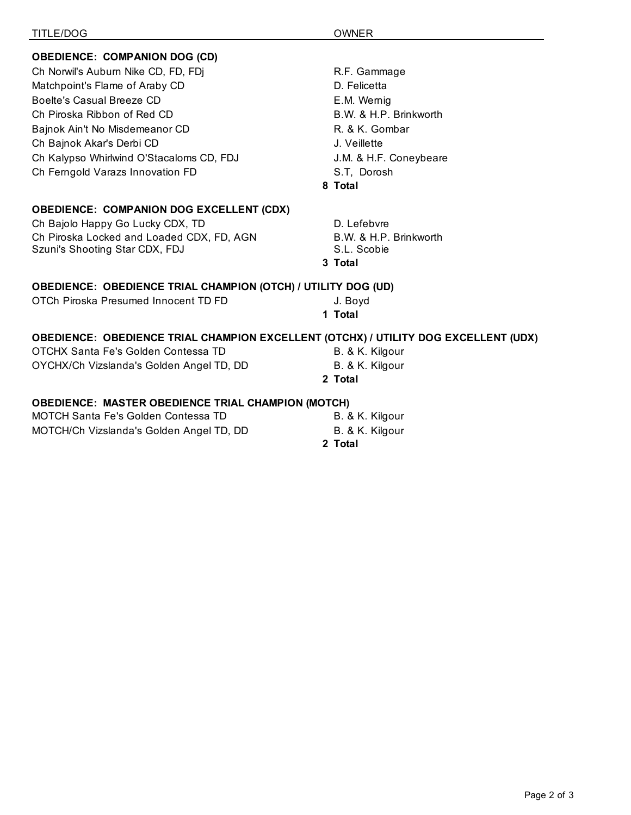| TITLE/DOG                                                                           | <b>OWNER</b>           |
|-------------------------------------------------------------------------------------|------------------------|
| <b>OBEDIENCE: COMPANION DOG (CD)</b>                                                |                        |
| Ch Norwil's Auburn Nike CD, FD, FDj                                                 | R.F. Gammage           |
| Matchpoint's Flame of Araby CD                                                      | D. Felicetta           |
| Boelte's Casual Breeze CD                                                           | E.M. Wernig            |
| Ch Piroska Ribbon of Red CD                                                         | B.W. & H.P. Brinkworth |
| Bajnok Ain't No Misdemeanor CD                                                      | R. & K. Gombar         |
| Ch Bajnok Akar's Derbi CD                                                           | J. Veillette           |
| Ch Kalypso Whirlwind O'Stacaloms CD, FDJ                                            | J.M. & H.F. Coneybeare |
| Ch Ferngold Varazs Innovation FD                                                    | S.T, Dorosh            |
|                                                                                     | 8 Total                |
|                                                                                     |                        |
| <b>OBEDIENCE: COMPANION DOG EXCELLENT (CDX)</b>                                     |                        |
| Ch Bajolo Happy Go Lucky CDX, TD                                                    | D. Lefebvre            |
| Ch Piroska Locked and Loaded CDX, FD, AGN                                           | B.W. & H.P. Brinkworth |
| Szuni's Shooting Star CDX, FDJ                                                      | S.L. Scobie            |
|                                                                                     | 3 Total                |
| <b>OBEDIENCE: OBEDIENCE TRIAL CHAMPION (OTCH) / UTILITY DOG (UD)</b>                |                        |
| OTCh Piroska Presumed Innocent TD FD                                                | J. Boyd                |
|                                                                                     | 1 Total                |
| OBEDIENCE: OBEDIENCE TRIAL CHAMPION EXCELLENT (OTCHX) / UTILITY DOG EXCELLENT (UDX) |                        |
| OTCHX Santa Fe's Golden Contessa TD                                                 | B. & K. Kilgour        |
| OYCHX/Ch Vizslanda's Golden Angel TD, DD                                            | B. & K. Kilgour        |
|                                                                                     | 2 Total                |
| <b>OBEDIENCE: MASTER OBEDIENCE TRIAL CHAMPION (MOTCH)</b>                           |                        |
| <b>MOTCH Santa Fe's Golden Contessa TD</b>                                          | B. & K. Kilgour        |
| MOTCH/Ch Vizslanda's Golden Angel TD, DD                                            | B. & K. Kilgour        |
|                                                                                     |                        |

**2 Total**